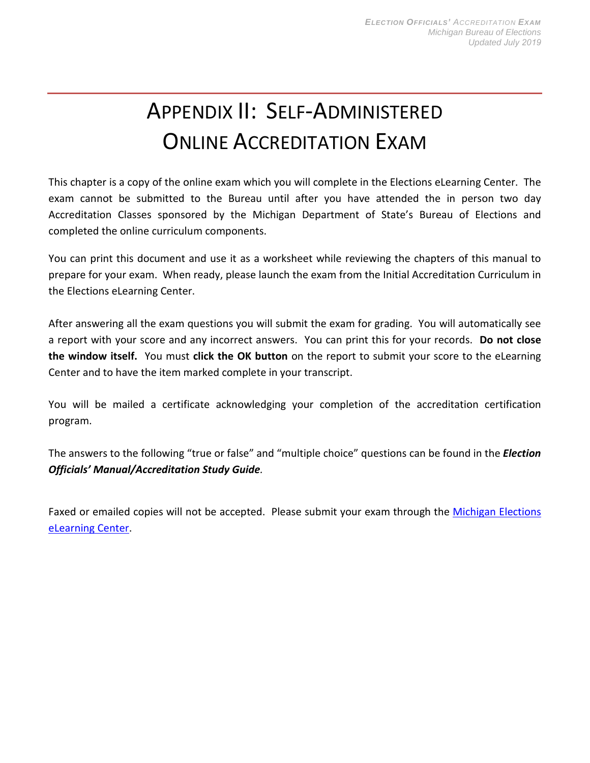## APPENDIX II: SELF-ADMINISTERED ONLINE ACCREDITATION EXAM

This chapter is a copy of the online exam which you will complete in the Elections eLearning Center. The exam cannot be submitted to the Bureau until after you have attended the in person two day Accreditation Classes sponsored by the Michigan Department of State's Bureau of Elections and completed the online curriculum components.

You can print this document and use it as a worksheet while reviewing the chapters of this manual to prepare for your exam. When ready, please launch the exam from the Initial Accreditation Curriculum in the Elections eLearning Center.

After answering all the exam questions you will submit the exam for grading. You will automatically see a report with your score and any incorrect answers. You can print this for your records. **Do not close the window itself.** You must **click the OK button** on the report to submit your score to the eLearning Center and to have the item marked complete in your transcript.

You will be mailed a certificate acknowledging your completion of the accreditation certification program.

The answers to the following "true or false" and "multiple choice" questions can be found in the *Election Officials' Manual/Accreditation Study Guide.*

Faxed or emailed copies will not be accepted. Please submit your exam through the [Michigan Elections](https://mielections.csod.com/)  [eLearning Center.](https://mielections.csod.com/)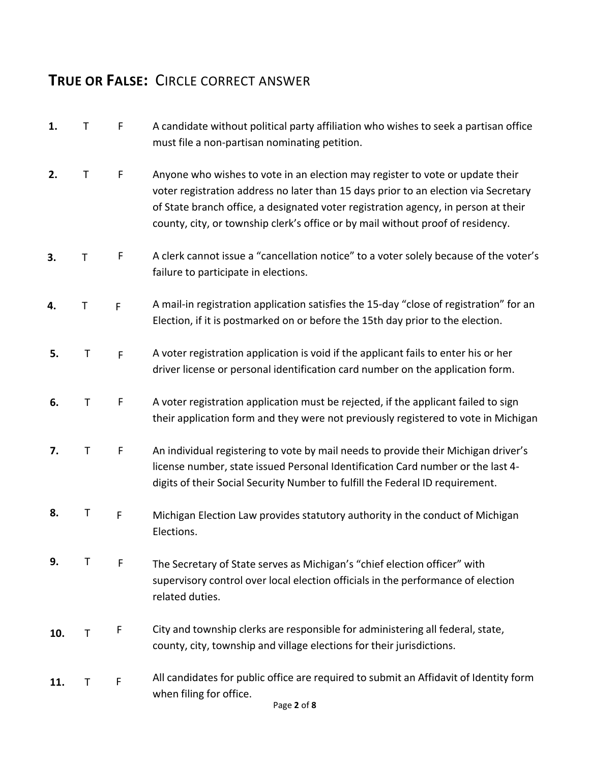## **TRUE OR FALSE:** CIRCLE CORRECT ANSWER

| 1.  | Τ | $\mathsf F$ | A candidate without political party affiliation who wishes to seek a partisan office<br>must file a non-partisan nominating petition.                                                                                                                                                                                                         |
|-----|---|-------------|-----------------------------------------------------------------------------------------------------------------------------------------------------------------------------------------------------------------------------------------------------------------------------------------------------------------------------------------------|
| 2.  | Τ | F           | Anyone who wishes to vote in an election may register to vote or update their<br>voter registration address no later than 15 days prior to an election via Secretary<br>of State branch office, a designated voter registration agency, in person at their<br>county, city, or township clerk's office or by mail without proof of residency. |
| 3.  | Τ | F           | A clerk cannot issue a "cancellation notice" to a voter solely because of the voter's<br>failure to participate in elections.                                                                                                                                                                                                                 |
| 4.  | Т | $\mathsf F$ | A mail-in registration application satisfies the 15-day "close of registration" for an<br>Election, if it is postmarked on or before the 15th day prior to the election.                                                                                                                                                                      |
| 5.  | Τ | F           | A voter registration application is void if the applicant fails to enter his or her<br>driver license or personal identification card number on the application form.                                                                                                                                                                         |
| 6.  | Τ | F           | A voter registration application must be rejected, if the applicant failed to sign<br>their application form and they were not previously registered to vote in Michigan                                                                                                                                                                      |
| 7.  | Τ | F           | An individual registering to vote by mail needs to provide their Michigan driver's<br>license number, state issued Personal Identification Card number or the last 4-<br>digits of their Social Security Number to fulfill the Federal ID requirement.                                                                                        |
| 8.  | Τ | F           | Michigan Election Law provides statutory authority in the conduct of Michigan<br>Elections.                                                                                                                                                                                                                                                   |
| 9.  | Т | F           | The Secretary of State serves as Michigan's "chief election officer" with<br>supervisory control over local election officials in the performance of election<br>related duties.                                                                                                                                                              |
| 10. | т | F           | City and township clerks are responsible for administering all federal, state,<br>county, city, township and village elections for their jurisdictions.                                                                                                                                                                                       |
| 11. | Т | F           | All candidates for public office are required to submit an Affidavit of Identity form<br>when filing for office.<br>$D \cap \sigma \cap \mathcal{D}$                                                                                                                                                                                          |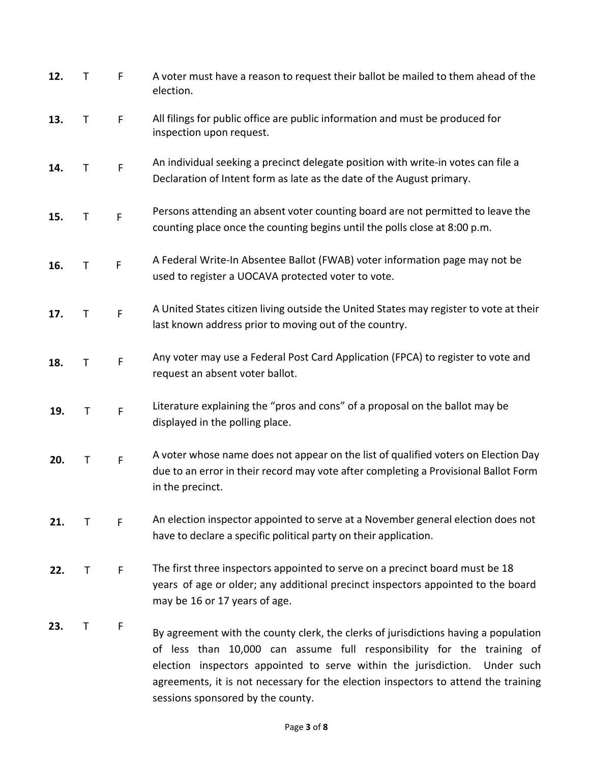| 12. | T | F           | A voter must have a reason to request their ballot be mailed to them ahead of the<br>election.                                                                                                                                                                                                                                                                            |
|-----|---|-------------|---------------------------------------------------------------------------------------------------------------------------------------------------------------------------------------------------------------------------------------------------------------------------------------------------------------------------------------------------------------------------|
| 13. | Τ | F           | All filings for public office are public information and must be produced for<br>inspection upon request.                                                                                                                                                                                                                                                                 |
| 14. | T | $\mathsf F$ | An individual seeking a precinct delegate position with write-in votes can file a<br>Declaration of Intent form as late as the date of the August primary.                                                                                                                                                                                                                |
| 15. | т | F           | Persons attending an absent voter counting board are not permitted to leave the<br>counting place once the counting begins until the polls close at 8:00 p.m.                                                                                                                                                                                                             |
| 16. | Τ | $\mathsf F$ | A Federal Write-In Absentee Ballot (FWAB) voter information page may not be<br>used to register a UOCAVA protected voter to vote.                                                                                                                                                                                                                                         |
| 17. | Τ | F           | A United States citizen living outside the United States may register to vote at their<br>last known address prior to moving out of the country.                                                                                                                                                                                                                          |
| 18. | Τ | $\mathsf F$ | Any voter may use a Federal Post Card Application (FPCA) to register to vote and<br>request an absent voter ballot.                                                                                                                                                                                                                                                       |
| 19. | Τ | $\mathsf F$ | Literature explaining the "pros and cons" of a proposal on the ballot may be<br>displayed in the polling place.                                                                                                                                                                                                                                                           |
| 20. | Τ | $\mathsf F$ | A voter whose name does not appear on the list of qualified voters on Election Day<br>due to an error in their record may vote after completing a Provisional Ballot Form<br>in the precinct.                                                                                                                                                                             |
| 21. | Τ | F           | An election inspector appointed to serve at a November general election does not<br>have to declare a specific political party on their application.                                                                                                                                                                                                                      |
| 22. | Τ | F           | The first three inspectors appointed to serve on a precinct board must be 18<br>years of age or older; any additional precinct inspectors appointed to the board<br>may be 16 or 17 years of age.                                                                                                                                                                         |
| 23. | т | F           | By agreement with the county clerk, the clerks of jurisdictions having a population<br>of less than 10,000 can assume full responsibility for the training of<br>election inspectors appointed to serve within the jurisdiction.<br>Under such<br>agreements, it is not necessary for the election inspectors to attend the training<br>sessions sponsored by the county. |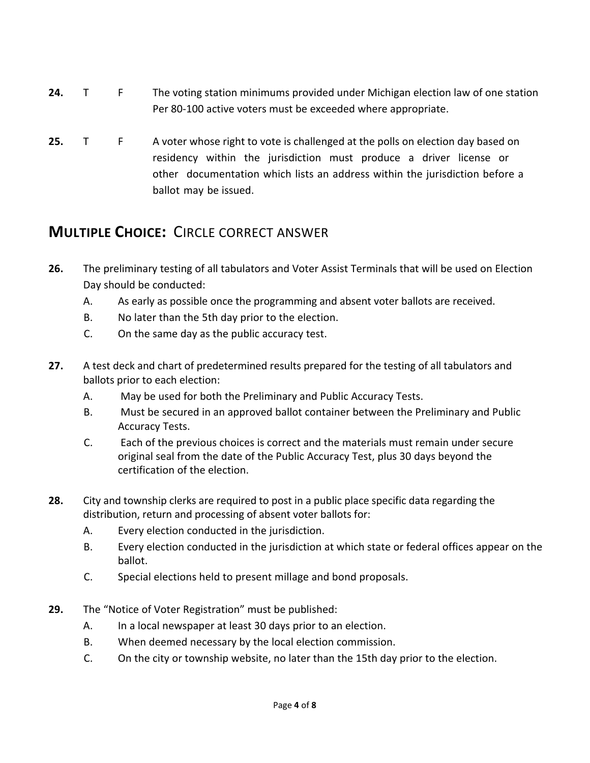- **24.** T F The voting station minimums provided under Michigan election law of one station Per 80-100 active voters must be exceeded where appropriate.
- **25.** T F A voter whose right to vote is challenged at the polls on election day based on residency within the jurisdiction must produce a driver license or other documentation which lists an address within the jurisdiction before a ballot may be issued.

## **MULTIPLE CHOICE:** CIRCLE CORRECT ANSWER

- **26.** The preliminary testing of all tabulators and Voter Assist Terminals that will be used on Election Day should be conducted:
	- A. As early as possible once the programming and absent voter ballots are received.
	- B. No later than the 5th day prior to the election.
	- C. On the same day as the public accuracy test.
- **27.** A test deck and chart of predetermined results prepared for the testing of all tabulators and ballots prior to each election:
	- A. May be used for both the Preliminary and Public Accuracy Tests.
	- B. Must be secured in an approved ballot container between the Preliminary and Public Accuracy Tests.
	- C. Each of the previous choices is correct and the materials must remain under secure original seal from the date of the Public Accuracy Test, plus 30 days beyond the certification of the election.
- **28.** City and township clerks are required to post in a public place specific data regarding the distribution, return and processing of absent voter ballots for:
	- A. Every election conducted in the jurisdiction.
	- B. Every election conducted in the jurisdiction at which state or federal offices appear on the ballot.
	- C. Special elections held to present millage and bond proposals.
- **29.** The "Notice of Voter Registration" must be published:
	- A. In a local newspaper at least 30 days prior to an election.
	- B. When deemed necessary by the local election commission.
	- C. On the city or township website, no later than the 15th day prior to the election.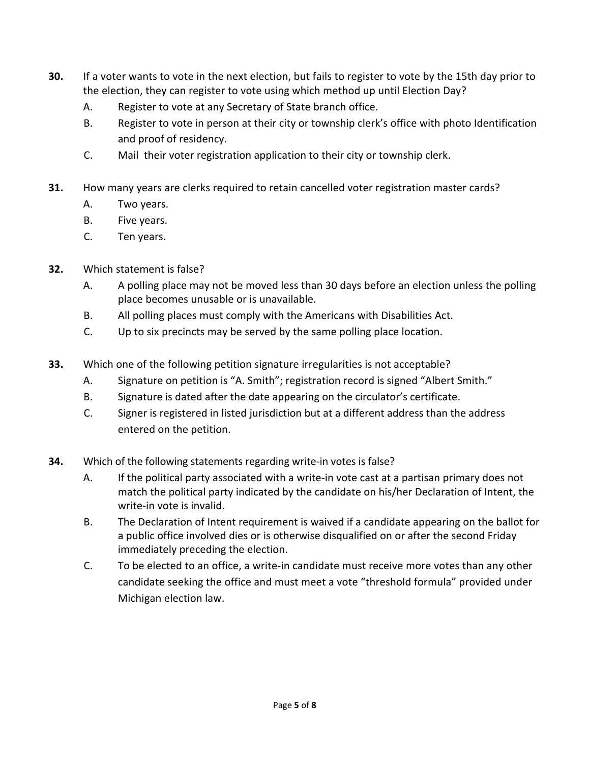- **30.** If a voter wants to vote in the next election, but fails to register to vote by the 15th day prior to the election, they can register to vote using which method up until Election Day?
	- A. Register to vote at any Secretary of State branch office.
	- B. Register to vote in person at their city or township clerk's office with photo Identification and proof of residency.
	- C. Mail their voter registration application to their city or township clerk.
- **31.** How many years are clerks required to retain cancelled voter registration master cards?
	- A. Two years.
	- B. Five years.
	- C. Ten years.
- **32.** Which statement is false?
	- A. A polling place may not be moved less than 30 days before an election unless the polling place becomes unusable or is unavailable.
	- B. All polling places must comply with the Americans with Disabilities Act.
	- C. Up to six precincts may be served by the same polling place location.
- **33.** Which one of the following petition signature irregularities is not acceptable?
	- A. Signature on petition is "A. Smith"; registration record is signed "Albert Smith."
	- B. Signature is dated after the date appearing on the circulator's certificate.
	- C. Signer is registered in listed jurisdiction but at a different address than the address entered on the petition.
- **34.** Which of the following statements regarding write-in votes is false?
	- A. If the political party associated with a write-in vote cast at a partisan primary does not match the political party indicated by the candidate on his/her Declaration of Intent, the write-in vote is invalid.
	- B. The Declaration of Intent requirement is waived if a candidate appearing on the ballot for a public office involved dies or is otherwise disqualified on or after the second Friday immediately preceding the election.
	- C. To be elected to an office, a write-in candidate must receive more votes than any other candidate seeking the office and must meet a vote "threshold formula" provided under Michigan election law.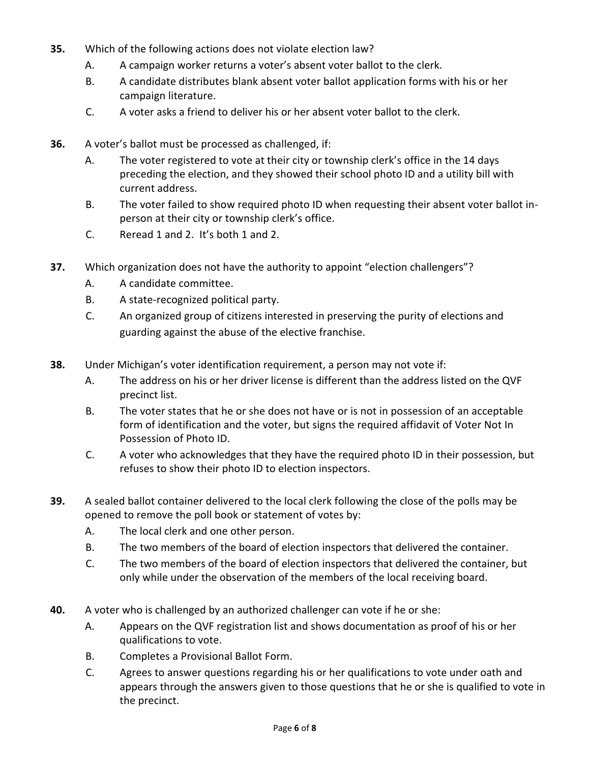- **35.** Which of the following actions does not violate election law?
	- A. A campaign worker returns a voter's absent voter ballot to the clerk.
	- B. A candidate distributes blank absent voter ballot application forms with his or her campaign literature.
	- C. A voter asks a friend to deliver his or her absent voter ballot to the clerk.
- **36.** A voter's ballot must be processed as challenged, if:
	- A. The voter registered to vote at their city or township clerk's office in the 14 days preceding the election, and they showed their school photo ID and a utility bill with current address.
	- B. The voter failed to show required photo ID when requesting their absent voter ballot inperson at their city or township clerk's office.
	- C. Reread 1 and 2. It's both 1 and 2.
- **37.** Which organization does not have the authority to appoint "election challengers"?
	- A. A candidate committee.
	- B. A state-recognized political party.
	- C. An organized group of citizens interested in preserving the purity of elections and guarding against the abuse of the elective franchise.
- **38.** Under Michigan's voter identification requirement, a person may not vote if:
	- A. The address on his or her driver license is different than the address listed on the QVF precinct list.
	- B. The voter states that he or she does not have or is not in possession of an acceptable form of identification and the voter, but signs the required affidavit of Voter Not In Possession of Photo ID.
	- C. A voter who acknowledges that they have the required photo ID in their possession, but refuses to show their photo ID to election inspectors.
- **39.** A sealed ballot container delivered to the local clerk following the close of the polls may be opened to remove the poll book or statement of votes by:
	- A. The local clerk and one other person.
	- B. The two members of the board of election inspectors that delivered the container.
	- C. The two members of the board of election inspectors that delivered the container, but only while under the observation of the members of the local receiving board.
- **40.** A voter who is challenged by an authorized challenger can vote if he or she:
	- A. Appears on the QVF registration list and shows documentation as proof of his or her qualifications to vote.
	- B. Completes a Provisional Ballot Form.
	- C. Agrees to answer questions regarding his or her qualifications to vote under oath and appears through the answers given to those questions that he or she is qualified to vote in the precinct.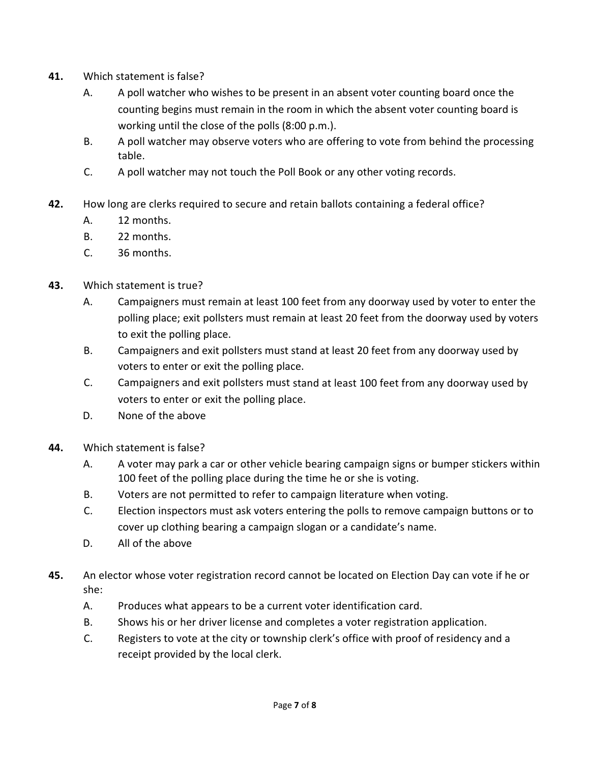- **41.** Which statement is false?
	- A. A poll watcher who wishes to be present in an absent voter counting board once the counting begins must remain in the room in which the absent voter counting board is working until the close of the polls (8:00 p.m.).
	- B. A poll watcher may observe voters who are offering to vote from behind the processing table.
	- C. A poll watcher may not touch the Poll Book or any other voting records.
- **42.** How long are clerks required to secure and retain ballots containing a federal office?
	- A. 12 months.
	- B. 22 months.
	- C. 36 months.
- **43.** Which statement is true?
	- A. Campaigners must remain at least 100 feet from any doorway used by voter to enter the polling place; exit pollsters must remain at least 20 feet from the doorway used by voters to exit the polling place.
	- B. Campaigners and exit pollsters must stand at least 20 feet from any doorway used by voters to enter or exit the polling place.
	- C. Campaigners and exit pollsters must stand at least 100 feet from any doorway used by voters to enter or exit the polling place.
	- D. None of the above
- **44.** Which statement is false?
	- A. A voter may park a car or other vehicle bearing campaign signs or bumper stickers within 100 feet of the polling place during the time he or she is voting.
	- B. Voters are not permitted to refer to campaign literature when voting.
	- C. Election inspectors must ask voters entering the polls to remove campaign buttons or to cover up clothing bearing a campaign slogan or a candidate's name.
	- D. All of the above
- **45.** An elector whose voter registration record cannot be located on Election Day can vote if he or she:
	- A. Produces what appears to be a current voter identification card.
	- B. Shows his or her driver license and completes a voter registration application.
	- C. Registers to vote at the city or township clerk's office with proof of residency and a receipt provided by the local clerk.